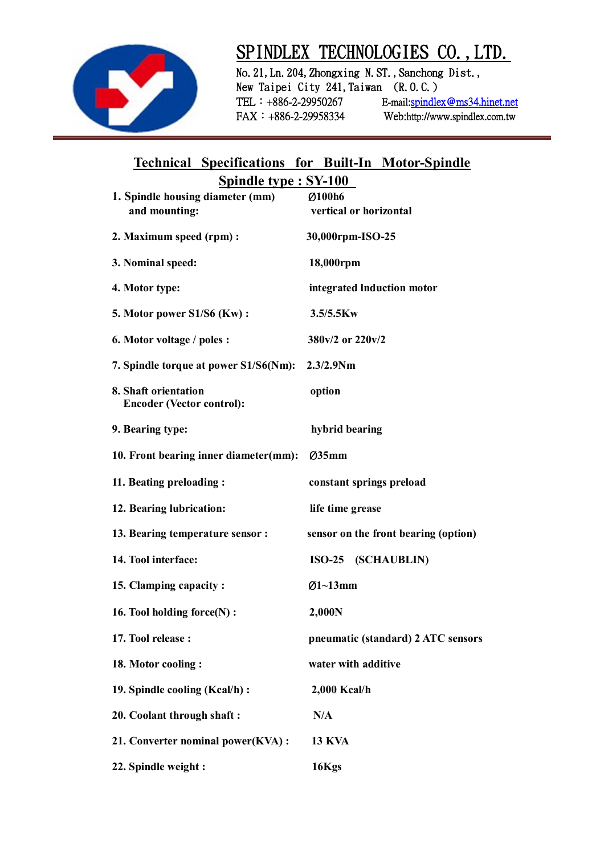

## **SPINDLEX TECHNOLOGIES CO.,LTD.**

**No.21,Ln.204,Zhongxing N.ST.,Sanchong Dist.,**  New Taipei City 241, Taiwan (R.O.C.) **TEL:+886-2-29950267 E-mail:spindlex@ms34.hinet.net FAX:+886-2-29958334 Web:http://www.spindlex.com.tw** 

## **Technical Specifications for Built-In Motor-Spindle Spindle type : SY-100**

| 1. Spindle housing diameter (mm)                         | Ø100h6                               |
|----------------------------------------------------------|--------------------------------------|
| and mounting:                                            | vertical or horizontal               |
| 2. Maximum speed (rpm) :                                 | 30,000rpm-ISO-25                     |
| 3. Nominal speed:                                        | 18,000rpm                            |
| 4. Motor type:                                           | integrated Induction motor           |
| <b>5. Motor power S1/S6 (Kw):</b>                        | 3.5/5.5Kw                            |
| 6. Motor voltage / poles :                               | 380v/2 or 220v/2                     |
| 7. Spindle torque at power S1/S6(Nm):                    | $2.3/2.9$ Nm                         |
| 8. Shaft orientation<br><b>Encoder (Vector control):</b> | option                               |
| 9. Bearing type:                                         | hybrid bearing                       |
| 10. Front bearing inner diameter(mm):                    | $\varnothing$ 35mm                   |
| 11. Beating preloading:                                  | constant springs preload             |
| 12. Bearing lubrication:                                 | life time grease                     |
| 13. Bearing temperature sensor :                         | sensor on the front bearing (option) |
| 14. Tool interface:                                      | ISO-25 (SCHAUBLIN)                   |
| 15. Clamping capacity:                                   | $Ø1~13$ mm                           |
| 16. Tool holding force(N):                               | 2,000N                               |
| 17. Tool release:                                        | pneumatic (standard) 2 ATC sensors   |
| 18. Motor cooling:                                       | water with additive                  |
| 19. Spindle cooling (Kcal/h) :                           | 2,000 Kcal/h                         |
| 20. Coolant through shaft:                               | N/A                                  |
| 21. Converter nominal power(KVA):                        | <b>13 KVA</b>                        |
| 22. Spindle weight :                                     | 16Kgs                                |